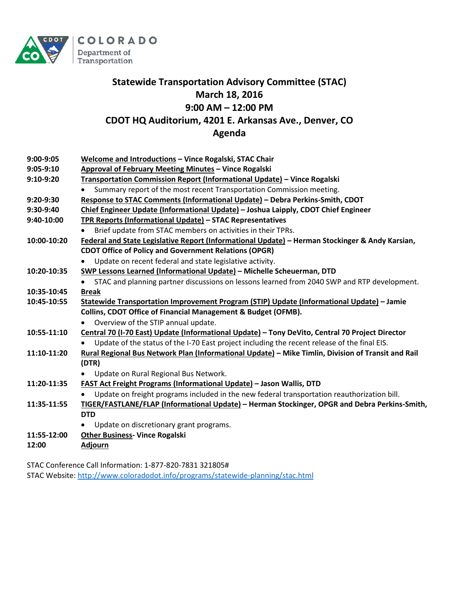

### **Statewide Transportation Advisory Committee (STAC) March 18, 2016 9:00 AM – 12:00 PM CDOT HQ Auditorium, 4201 E. Arkansas Ave., Denver, CO Agenda**

| 9:00-9:05   | Welcome and Introductions - Vince Rogalski, STAC Chair                                             |
|-------------|----------------------------------------------------------------------------------------------------|
| $9:05-9:10$ | Approval of February Meeting Minutes - Vince Rogalski                                              |
| 9:10-9:20   | Transportation Commission Report (Informational Update) - Vince Rogalski                           |
|             | Summary report of the most recent Transportation Commission meeting.                               |
| 9:20-9:30   | Response to STAC Comments (Informational Update) - Debra Perkins-Smith, CDOT                       |
| 9:30-9:40   | Chief Engineer Update (Informational Update) - Joshua Laipply, CDOT Chief Engineer                 |
| 9:40-10:00  | TPR Reports (Informational Update) - STAC Representatives                                          |
|             | Brief update from STAC members on activities in their TPRs.                                        |
| 10:00-10:20 | Federal and State Legislative Report (Informational Update) - Herman Stockinger & Andy Karsian,    |
|             | <b>CDOT Office of Policy and Government Relations (OPGR)</b>                                       |
|             | Update on recent federal and state legislative activity.                                           |
| 10:20-10:35 | SWP Lessons Learned (Informational Update) - Michelle Scheuerman, DTD                              |
|             | STAC and planning partner discussions on lessons learned from 2040 SWP and RTP development.        |
| 10:35-10:45 | <b>Break</b>                                                                                       |
| 10:45-10:55 | Statewide Transportation Improvement Program (STIP) Update (Informational Update) - Jamie          |
|             | Collins, CDOT Office of Financial Management & Budget (OFMB).                                      |
|             | Overview of the STIP annual update.<br>$\bullet$                                                   |
| 10:55-11:10 | Central 70 (I-70 East) Update (Informational Update) - Tony DeVito, Central 70 Project Director    |
|             | Update of the status of the I-70 East project including the recent release of the final EIS.       |
| 11:10-11:20 | Rural Regional Bus Network Plan (Informational Update) - Mike Timlin, Division of Transit and Rail |
|             | (DTR)                                                                                              |
|             | Update on Rural Regional Bus Network.                                                              |
| 11:20-11:35 | <b>FAST Act Freight Programs (Informational Update) - Jason Wallis, DTD</b>                        |
|             | Update on freight programs included in the new federal transportation reauthorization bill.        |
| 11:35-11:55 | TIGER/FASTLANE/FLAP (Informational Update) - Herman Stockinger, OPGR and Debra Perkins-Smith,      |
|             | <b>DTD</b>                                                                                         |
|             | Update on discretionary grant programs.                                                            |
| 11:55-12:00 | <b>Other Business- Vince Rogalski</b>                                                              |
| 12:00       | <b>Adjourn</b>                                                                                     |

STAC Conference Call Information: 1-877-820-7831 321805# STAC Website[: http://www.coloradodot.info/programs/statewide-planning/stac.html](http://www.coloradodot.info/programs/statewide-planning/stac.html)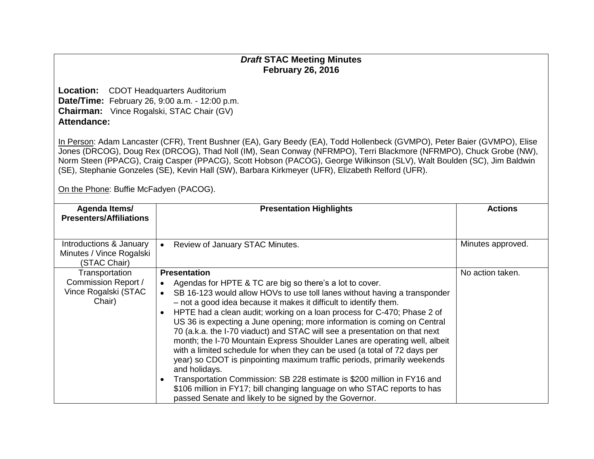### *Draft* **STAC Meeting Minutes February 26, 2016**

**Location:** CDOT Headquarters Auditorium **Date/Time:** February 26, 9:00 a.m. - 12:00 p.m. **Chairman:** Vince Rogalski, STAC Chair (GV) **Attendance:**

In Person: Adam Lancaster (CFR), Trent Bushner (EA), Gary Beedy (EA), Todd Hollenbeck (GVMPO), Peter Baier (GVMPO), Elise Jones (DRCOG), Doug Rex (DRCOG), Thad Noll (IM), Sean Conway (NFRMPO), Terri Blackmore (NFRMPO), Chuck Grobe (NW), Norm Steen (PPACG), Craig Casper (PPACG), Scott Hobson (PACOG), George Wilkinson (SLV), Walt Boulden (SC), Jim Baldwin (SE), Stephanie Gonzeles (SE), Kevin Hall (SW), Barbara Kirkmeyer (UFR), Elizabeth Relford (UFR).

On the Phone: Buffie McFadyen (PACOG).

| Agenda Items/<br><b>Presenters/Affiliations</b>                         | <b>Presentation Highlights</b>                                                                                                                                                                                                                                                                                                                                                                                                                                                                                                                                                                                                                                                                                                                                                                                                                                                                                                                                                                      | <b>Actions</b>    |
|-------------------------------------------------------------------------|-----------------------------------------------------------------------------------------------------------------------------------------------------------------------------------------------------------------------------------------------------------------------------------------------------------------------------------------------------------------------------------------------------------------------------------------------------------------------------------------------------------------------------------------------------------------------------------------------------------------------------------------------------------------------------------------------------------------------------------------------------------------------------------------------------------------------------------------------------------------------------------------------------------------------------------------------------------------------------------------------------|-------------------|
| Introductions & January<br>Minutes / Vince Rogalski<br>(STAC Chair)     | Review of January STAC Minutes.<br>$\bullet$                                                                                                                                                                                                                                                                                                                                                                                                                                                                                                                                                                                                                                                                                                                                                                                                                                                                                                                                                        | Minutes approved. |
| Transportation<br>Commission Report /<br>Vince Rogalski (STAC<br>Chair) | <b>Presentation</b><br>Agendas for HPTE & TC are big so there's a lot to cover.<br>$\bullet$<br>SB 16-123 would allow HOVs to use toll lanes without having a transponder<br>$\bullet$<br>- not a good idea because it makes it difficult to identify them.<br>HPTE had a clean audit; working on a loan process for C-470; Phase 2 of<br>$\bullet$<br>US 36 is expecting a June opening; more information is coming on Central<br>70 (a.k.a. the I-70 viaduct) and STAC will see a presentation on that next<br>month; the I-70 Mountain Express Shoulder Lanes are operating well, albeit<br>with a limited schedule for when they can be used (a total of 72 days per<br>year) so CDOT is pinpointing maximum traffic periods, primarily weekends<br>and holidays.<br>Transportation Commission: SB 228 estimate is \$200 million in FY16 and<br>$\bullet$<br>\$106 million in FY17; bill changing language on who STAC reports to has<br>passed Senate and likely to be signed by the Governor. | No action taken.  |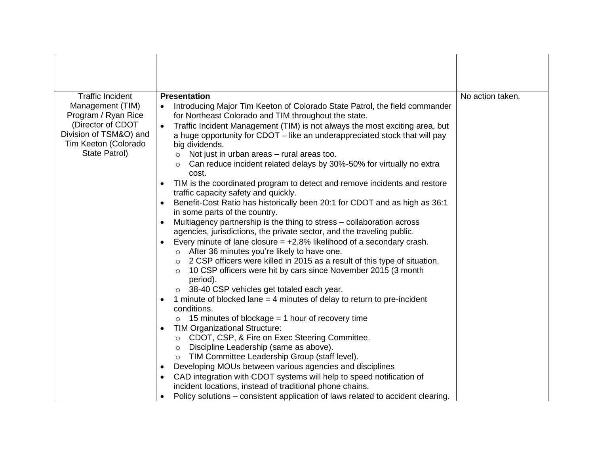| <b>Traffic Incident</b>                                                                                                         | <b>Presentation</b>                                                                                                                                                                                                                                                                                                                                                                                                                                                                                                                                                                                                                                                                                                                                                                                                                                                                                                                                                                                                                                                                                                                                                         | No action taken. |
|---------------------------------------------------------------------------------------------------------------------------------|-----------------------------------------------------------------------------------------------------------------------------------------------------------------------------------------------------------------------------------------------------------------------------------------------------------------------------------------------------------------------------------------------------------------------------------------------------------------------------------------------------------------------------------------------------------------------------------------------------------------------------------------------------------------------------------------------------------------------------------------------------------------------------------------------------------------------------------------------------------------------------------------------------------------------------------------------------------------------------------------------------------------------------------------------------------------------------------------------------------------------------------------------------------------------------|------------------|
| Management (TIM)<br>Program / Ryan Rice<br>(Director of CDOT<br>Division of TSM&O) and<br>Tim Keeton (Colorado<br>State Patrol) | Introducing Major Tim Keeton of Colorado State Patrol, the field commander<br>for Northeast Colorado and TIM throughout the state.<br>Traffic Incident Management (TIM) is not always the most exciting area, but<br>a huge opportunity for CDOT - like an underappreciated stock that will pay<br>big dividends.<br>Not just in urban areas - rural areas too.<br>$\circ$<br>Can reduce incident related delays by 30%-50% for virtually no extra<br>$\circ$<br>cost.<br>TIM is the coordinated program to detect and remove incidents and restore<br>traffic capacity safety and quickly.<br>Benefit-Cost Ratio has historically been 20:1 for CDOT and as high as 36:1<br>in some parts of the country.<br>Multiagency partnership is the thing to stress – collaboration across<br>$\bullet$<br>agencies, jurisdictions, the private sector, and the traveling public.<br>Every minute of lane closure $= +2.8\%$ likelihood of a secondary crash.<br>o After 36 minutes you're likely to have one.<br>2 CSP officers were killed in 2015 as a result of this type of situation.<br>$\circ$<br>10 CSP officers were hit by cars since November 2015 (3 month<br>$\circ$ |                  |
|                                                                                                                                 | period).<br>o 38-40 CSP vehicles get totaled each year.<br>1 minute of blocked lane = 4 minutes of delay to return to pre-incident<br>٠<br>conditions.<br>15 minutes of blockage = 1 hour of recovery time<br><b>TIM Organizational Structure:</b><br>$\bullet$<br>CDOT, CSP, & Fire on Exec Steering Committee.<br>$\circ$<br>Discipline Leadership (same as above).<br>$\circ$<br>TIM Committee Leadership Group (staff level).<br>$\circ$<br>Developing MOUs between various agencies and disciplines<br>$\bullet$<br>CAD integration with CDOT systems will help to speed notification of<br>incident locations, instead of traditional phone chains.<br>Policy solutions – consistent application of laws related to accident clearing.<br>$\bullet$                                                                                                                                                                                                                                                                                                                                                                                                                   |                  |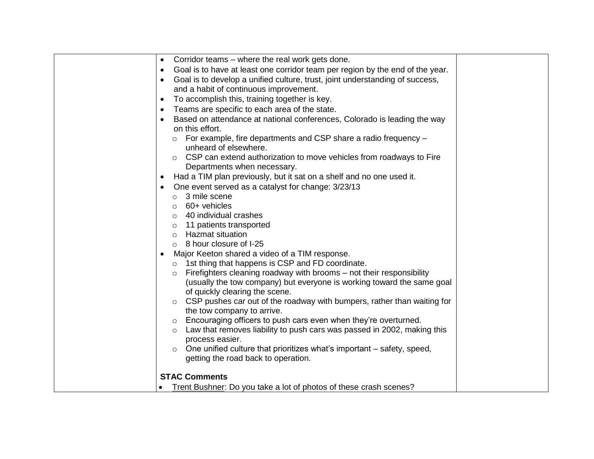| Corridor teams – where the real work gets done.<br>$\bullet$                               |
|--------------------------------------------------------------------------------------------|
| Goal is to have at least one corridor team per region by the end of the year.<br>$\bullet$ |
| Goal is to develop a unified culture, trust, joint understanding of success,               |
| and a habit of continuous improvement.                                                     |
| To accomplish this, training together is key.<br>$\bullet$                                 |
| Teams are specific to each area of the state.                                              |
| Based on attendance at national conferences, Colorado is leading the way                   |
| on this effort.                                                                            |
| $\circ$ For example, fire departments and CSP share a radio frequency $-$                  |
| unheard of elsewhere.                                                                      |
| $\circ$ CSP can extend authorization to move vehicles from roadways to Fire                |
| Departments when necessary.                                                                |
| Had a TIM plan previously, but it sat on a shelf and no one used it.                       |
| One event served as a catalyst for change: 3/23/13                                         |
| 3 mile scene<br>$\circ$                                                                    |
| $\circ$ 60+ vehicles                                                                       |
| 40 individual crashes                                                                      |
| 11 patients transported<br>$\circ$                                                         |
| Hazmat situation<br>$\circ$                                                                |
| $\circ$ 8 hour closure of I-25                                                             |
| Major Keeton shared a video of a TIM response.                                             |
| $\circ$ 1st thing that happens is CSP and FD coordinate.                                   |
| Firefighters cleaning roadway with brooms - not their responsibility<br>$\circ$            |
| (usually the tow company) but everyone is working toward the same goal                     |
| of quickly clearing the scene.                                                             |
| CSP pushes car out of the roadway with bumpers, rather than waiting for<br>$\circ$         |
| the tow company to arrive.                                                                 |
| Encouraging officers to push cars even when they're overturned.<br>$\circ$                 |
| Law that removes liability to push cars was passed in 2002, making this<br>$\circ$         |
| process easier.                                                                            |
| One unified culture that prioritizes what's important – safety, speed,                     |
| getting the road back to operation.                                                        |
|                                                                                            |
| <b>STAC Comments</b>                                                                       |
| Trent Bushner: Do you take a lot of photos of these crash scenes?                          |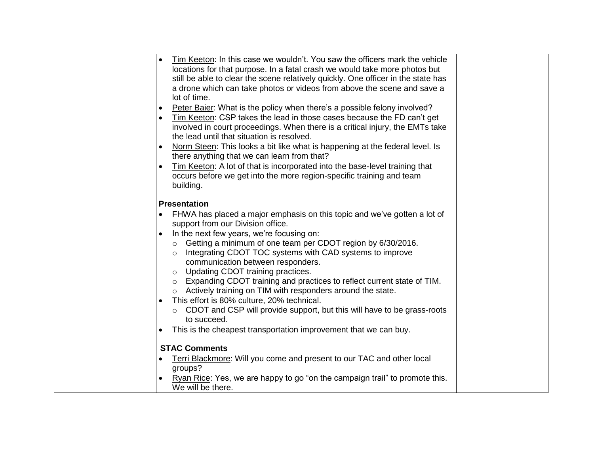| Tim Keeton: In this case we wouldn't. You saw the officers mark the vehicle<br>$\bullet$  |  |
|-------------------------------------------------------------------------------------------|--|
| locations for that purpose. In a fatal crash we would take more photos but                |  |
| still be able to clear the scene relatively quickly. One officer in the state has         |  |
| a drone which can take photos or videos from above the scene and save a                   |  |
| lot of time.                                                                              |  |
| Peter Baier: What is the policy when there's a possible felony involved?<br>$\bullet$     |  |
| Tim Keeton: CSP takes the lead in those cases because the FD can't get<br>$\bullet$       |  |
| involved in court proceedings. When there is a critical injury, the EMTs take             |  |
| the lead until that situation is resolved.                                                |  |
| Norm Steen: This looks a bit like what is happening at the federal level. Is<br>$\bullet$ |  |
| there anything that we can learn from that?                                               |  |
| Tim Keeton: A lot of that is incorporated into the base-level training that               |  |
| occurs before we get into the more region-specific training and team                      |  |
| building.                                                                                 |  |
|                                                                                           |  |
| <b>Presentation</b>                                                                       |  |
| FHWA has placed a major emphasis on this topic and we've gotten a lot of<br>$\bullet$     |  |
| support from our Division office.                                                         |  |
| In the next few years, we're focusing on:                                                 |  |
| o Getting a minimum of one team per CDOT region by 6/30/2016.                             |  |
| o Integrating CDOT TOC systems with CAD systems to improve                                |  |
| communication between responders.                                                         |  |
| Updating CDOT training practices.<br>$\circ$                                              |  |
| o Expanding CDOT training and practices to reflect current state of TIM.                  |  |
| o Actively training on TIM with responders around the state.                              |  |
| This effort is 80% culture, 20% technical.                                                |  |
| ○ CDOT and CSP will provide support, but this will have to be grass-roots                 |  |
| to succeed.                                                                               |  |
| This is the cheapest transportation improvement that we can buy.                          |  |
| <b>STAC Comments</b>                                                                      |  |
| Terri Blackmore: Will you come and present to our TAC and other local                     |  |
| groups?                                                                                   |  |
| Ryan Rice: Yes, we are happy to go "on the campaign trail" to promote this.               |  |
| We will be there.                                                                         |  |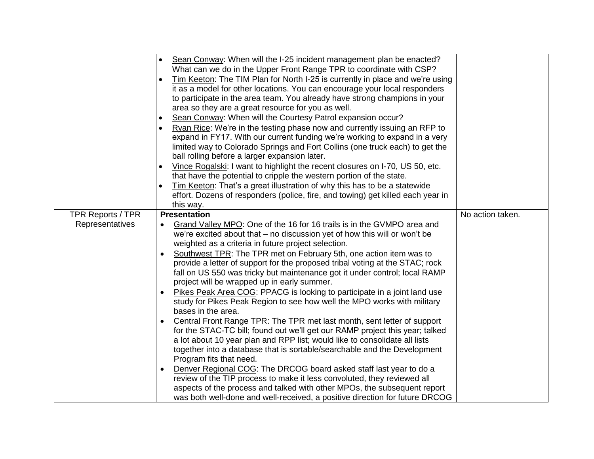| Sean Conway: When will the I-25 incident management plan be enacted?<br>What can we do in the Upper Front Range TPR to coordinate with CSP?<br>Tim Keeton: The TIM Plan for North I-25 is currently in place and we're using<br>it as a model for other locations. You can encourage your local responders<br>to participate in the area team. You already have strong champions in your<br>area so they are a great resource for you as well.<br>Sean Conway: When will the Courtesy Patrol expansion occur?<br>Ryan Rice: We're in the testing phase now and currently issuing an RFP to<br>expand in FY17. With our current funding we're working to expand in a very<br>limited way to Colorado Springs and Fort Collins (one truck each) to get the<br>ball rolling before a larger expansion later.<br>Vince Rogalski: I want to highlight the recent closures on I-70, US 50, etc.<br>that have the potential to cripple the western portion of the state.<br>Tim Keeton: That's a great illustration of why this has to be a statewide<br>effort. Dozens of responders (police, fire, and towing) get killed each year in<br>this way.<br><b>Presentation</b><br>No action taken.<br><b>TPR Reports / TPR</b><br>Representatives<br>Grand Valley MPO: One of the 16 for 16 trails is in the GVMPO area and<br>we're excited about that – no discussion yet of how this will or won't be<br>weighted as a criteria in future project selection.<br>Southwest TPR: The TPR met on February 5th, one action item was to<br>provide a letter of support for the proposed tribal voting at the STAC; rock<br>fall on US 550 was tricky but maintenance got it under control; local RAMP<br>project will be wrapped up in early summer.<br>Pikes Peak Area COG: PPACG is looking to participate in a joint land use<br>$\bullet$<br>study for Pikes Peak Region to see how well the MPO works with military<br>bases in the area.<br>Central Front Range TPR: The TPR met last month, sent letter of support<br>٠<br>for the STAC-TC bill; found out we'll get our RAMP project this year; talked<br>a lot about 10 year plan and RPP list; would like to consolidate all lists<br>together into a database that is sortable/searchable and the Development<br>Program fits that need.<br>Denver Regional COG: The DRCOG board asked staff last year to do a<br>$\bullet$<br>review of the TIP process to make it less convoluted, they reviewed all<br>aspects of the process and talked with other MPOs, the subsequent report |                                                                             |  |
|------------------------------------------------------------------------------------------------------------------------------------------------------------------------------------------------------------------------------------------------------------------------------------------------------------------------------------------------------------------------------------------------------------------------------------------------------------------------------------------------------------------------------------------------------------------------------------------------------------------------------------------------------------------------------------------------------------------------------------------------------------------------------------------------------------------------------------------------------------------------------------------------------------------------------------------------------------------------------------------------------------------------------------------------------------------------------------------------------------------------------------------------------------------------------------------------------------------------------------------------------------------------------------------------------------------------------------------------------------------------------------------------------------------------------------------------------------------------------------------------------------------------------------------------------------------------------------------------------------------------------------------------------------------------------------------------------------------------------------------------------------------------------------------------------------------------------------------------------------------------------------------------------------------------------------------------------------------------------------------------------------------------------------------------------------------------------------------------------------------------------------------------------------------------------------------------------------------------------------------------------------------------------------------------------------------------------------------------------------------------------------------------------------------------------------------------------------------------------------------------------------------------------------|-----------------------------------------------------------------------------|--|
|                                                                                                                                                                                                                                                                                                                                                                                                                                                                                                                                                                                                                                                                                                                                                                                                                                                                                                                                                                                                                                                                                                                                                                                                                                                                                                                                                                                                                                                                                                                                                                                                                                                                                                                                                                                                                                                                                                                                                                                                                                                                                                                                                                                                                                                                                                                                                                                                                                                                                                                                    |                                                                             |  |
|                                                                                                                                                                                                                                                                                                                                                                                                                                                                                                                                                                                                                                                                                                                                                                                                                                                                                                                                                                                                                                                                                                                                                                                                                                                                                                                                                                                                                                                                                                                                                                                                                                                                                                                                                                                                                                                                                                                                                                                                                                                                                                                                                                                                                                                                                                                                                                                                                                                                                                                                    |                                                                             |  |
|                                                                                                                                                                                                                                                                                                                                                                                                                                                                                                                                                                                                                                                                                                                                                                                                                                                                                                                                                                                                                                                                                                                                                                                                                                                                                                                                                                                                                                                                                                                                                                                                                                                                                                                                                                                                                                                                                                                                                                                                                                                                                                                                                                                                                                                                                                                                                                                                                                                                                                                                    |                                                                             |  |
|                                                                                                                                                                                                                                                                                                                                                                                                                                                                                                                                                                                                                                                                                                                                                                                                                                                                                                                                                                                                                                                                                                                                                                                                                                                                                                                                                                                                                                                                                                                                                                                                                                                                                                                                                                                                                                                                                                                                                                                                                                                                                                                                                                                                                                                                                                                                                                                                                                                                                                                                    |                                                                             |  |
|                                                                                                                                                                                                                                                                                                                                                                                                                                                                                                                                                                                                                                                                                                                                                                                                                                                                                                                                                                                                                                                                                                                                                                                                                                                                                                                                                                                                                                                                                                                                                                                                                                                                                                                                                                                                                                                                                                                                                                                                                                                                                                                                                                                                                                                                                                                                                                                                                                                                                                                                    |                                                                             |  |
|                                                                                                                                                                                                                                                                                                                                                                                                                                                                                                                                                                                                                                                                                                                                                                                                                                                                                                                                                                                                                                                                                                                                                                                                                                                                                                                                                                                                                                                                                                                                                                                                                                                                                                                                                                                                                                                                                                                                                                                                                                                                                                                                                                                                                                                                                                                                                                                                                                                                                                                                    |                                                                             |  |
|                                                                                                                                                                                                                                                                                                                                                                                                                                                                                                                                                                                                                                                                                                                                                                                                                                                                                                                                                                                                                                                                                                                                                                                                                                                                                                                                                                                                                                                                                                                                                                                                                                                                                                                                                                                                                                                                                                                                                                                                                                                                                                                                                                                                                                                                                                                                                                                                                                                                                                                                    |                                                                             |  |
|                                                                                                                                                                                                                                                                                                                                                                                                                                                                                                                                                                                                                                                                                                                                                                                                                                                                                                                                                                                                                                                                                                                                                                                                                                                                                                                                                                                                                                                                                                                                                                                                                                                                                                                                                                                                                                                                                                                                                                                                                                                                                                                                                                                                                                                                                                                                                                                                                                                                                                                                    |                                                                             |  |
|                                                                                                                                                                                                                                                                                                                                                                                                                                                                                                                                                                                                                                                                                                                                                                                                                                                                                                                                                                                                                                                                                                                                                                                                                                                                                                                                                                                                                                                                                                                                                                                                                                                                                                                                                                                                                                                                                                                                                                                                                                                                                                                                                                                                                                                                                                                                                                                                                                                                                                                                    |                                                                             |  |
|                                                                                                                                                                                                                                                                                                                                                                                                                                                                                                                                                                                                                                                                                                                                                                                                                                                                                                                                                                                                                                                                                                                                                                                                                                                                                                                                                                                                                                                                                                                                                                                                                                                                                                                                                                                                                                                                                                                                                                                                                                                                                                                                                                                                                                                                                                                                                                                                                                                                                                                                    |                                                                             |  |
|                                                                                                                                                                                                                                                                                                                                                                                                                                                                                                                                                                                                                                                                                                                                                                                                                                                                                                                                                                                                                                                                                                                                                                                                                                                                                                                                                                                                                                                                                                                                                                                                                                                                                                                                                                                                                                                                                                                                                                                                                                                                                                                                                                                                                                                                                                                                                                                                                                                                                                                                    |                                                                             |  |
|                                                                                                                                                                                                                                                                                                                                                                                                                                                                                                                                                                                                                                                                                                                                                                                                                                                                                                                                                                                                                                                                                                                                                                                                                                                                                                                                                                                                                                                                                                                                                                                                                                                                                                                                                                                                                                                                                                                                                                                                                                                                                                                                                                                                                                                                                                                                                                                                                                                                                                                                    |                                                                             |  |
|                                                                                                                                                                                                                                                                                                                                                                                                                                                                                                                                                                                                                                                                                                                                                                                                                                                                                                                                                                                                                                                                                                                                                                                                                                                                                                                                                                                                                                                                                                                                                                                                                                                                                                                                                                                                                                                                                                                                                                                                                                                                                                                                                                                                                                                                                                                                                                                                                                                                                                                                    |                                                                             |  |
|                                                                                                                                                                                                                                                                                                                                                                                                                                                                                                                                                                                                                                                                                                                                                                                                                                                                                                                                                                                                                                                                                                                                                                                                                                                                                                                                                                                                                                                                                                                                                                                                                                                                                                                                                                                                                                                                                                                                                                                                                                                                                                                                                                                                                                                                                                                                                                                                                                                                                                                                    |                                                                             |  |
|                                                                                                                                                                                                                                                                                                                                                                                                                                                                                                                                                                                                                                                                                                                                                                                                                                                                                                                                                                                                                                                                                                                                                                                                                                                                                                                                                                                                                                                                                                                                                                                                                                                                                                                                                                                                                                                                                                                                                                                                                                                                                                                                                                                                                                                                                                                                                                                                                                                                                                                                    |                                                                             |  |
|                                                                                                                                                                                                                                                                                                                                                                                                                                                                                                                                                                                                                                                                                                                                                                                                                                                                                                                                                                                                                                                                                                                                                                                                                                                                                                                                                                                                                                                                                                                                                                                                                                                                                                                                                                                                                                                                                                                                                                                                                                                                                                                                                                                                                                                                                                                                                                                                                                                                                                                                    |                                                                             |  |
|                                                                                                                                                                                                                                                                                                                                                                                                                                                                                                                                                                                                                                                                                                                                                                                                                                                                                                                                                                                                                                                                                                                                                                                                                                                                                                                                                                                                                                                                                                                                                                                                                                                                                                                                                                                                                                                                                                                                                                                                                                                                                                                                                                                                                                                                                                                                                                                                                                                                                                                                    |                                                                             |  |
|                                                                                                                                                                                                                                                                                                                                                                                                                                                                                                                                                                                                                                                                                                                                                                                                                                                                                                                                                                                                                                                                                                                                                                                                                                                                                                                                                                                                                                                                                                                                                                                                                                                                                                                                                                                                                                                                                                                                                                                                                                                                                                                                                                                                                                                                                                                                                                                                                                                                                                                                    |                                                                             |  |
|                                                                                                                                                                                                                                                                                                                                                                                                                                                                                                                                                                                                                                                                                                                                                                                                                                                                                                                                                                                                                                                                                                                                                                                                                                                                                                                                                                                                                                                                                                                                                                                                                                                                                                                                                                                                                                                                                                                                                                                                                                                                                                                                                                                                                                                                                                                                                                                                                                                                                                                                    |                                                                             |  |
|                                                                                                                                                                                                                                                                                                                                                                                                                                                                                                                                                                                                                                                                                                                                                                                                                                                                                                                                                                                                                                                                                                                                                                                                                                                                                                                                                                                                                                                                                                                                                                                                                                                                                                                                                                                                                                                                                                                                                                                                                                                                                                                                                                                                                                                                                                                                                                                                                                                                                                                                    |                                                                             |  |
|                                                                                                                                                                                                                                                                                                                                                                                                                                                                                                                                                                                                                                                                                                                                                                                                                                                                                                                                                                                                                                                                                                                                                                                                                                                                                                                                                                                                                                                                                                                                                                                                                                                                                                                                                                                                                                                                                                                                                                                                                                                                                                                                                                                                                                                                                                                                                                                                                                                                                                                                    |                                                                             |  |
|                                                                                                                                                                                                                                                                                                                                                                                                                                                                                                                                                                                                                                                                                                                                                                                                                                                                                                                                                                                                                                                                                                                                                                                                                                                                                                                                                                                                                                                                                                                                                                                                                                                                                                                                                                                                                                                                                                                                                                                                                                                                                                                                                                                                                                                                                                                                                                                                                                                                                                                                    |                                                                             |  |
|                                                                                                                                                                                                                                                                                                                                                                                                                                                                                                                                                                                                                                                                                                                                                                                                                                                                                                                                                                                                                                                                                                                                                                                                                                                                                                                                                                                                                                                                                                                                                                                                                                                                                                                                                                                                                                                                                                                                                                                                                                                                                                                                                                                                                                                                                                                                                                                                                                                                                                                                    |                                                                             |  |
|                                                                                                                                                                                                                                                                                                                                                                                                                                                                                                                                                                                                                                                                                                                                                                                                                                                                                                                                                                                                                                                                                                                                                                                                                                                                                                                                                                                                                                                                                                                                                                                                                                                                                                                                                                                                                                                                                                                                                                                                                                                                                                                                                                                                                                                                                                                                                                                                                                                                                                                                    |                                                                             |  |
|                                                                                                                                                                                                                                                                                                                                                                                                                                                                                                                                                                                                                                                                                                                                                                                                                                                                                                                                                                                                                                                                                                                                                                                                                                                                                                                                                                                                                                                                                                                                                                                                                                                                                                                                                                                                                                                                                                                                                                                                                                                                                                                                                                                                                                                                                                                                                                                                                                                                                                                                    |                                                                             |  |
|                                                                                                                                                                                                                                                                                                                                                                                                                                                                                                                                                                                                                                                                                                                                                                                                                                                                                                                                                                                                                                                                                                                                                                                                                                                                                                                                                                                                                                                                                                                                                                                                                                                                                                                                                                                                                                                                                                                                                                                                                                                                                                                                                                                                                                                                                                                                                                                                                                                                                                                                    |                                                                             |  |
|                                                                                                                                                                                                                                                                                                                                                                                                                                                                                                                                                                                                                                                                                                                                                                                                                                                                                                                                                                                                                                                                                                                                                                                                                                                                                                                                                                                                                                                                                                                                                                                                                                                                                                                                                                                                                                                                                                                                                                                                                                                                                                                                                                                                                                                                                                                                                                                                                                                                                                                                    |                                                                             |  |
|                                                                                                                                                                                                                                                                                                                                                                                                                                                                                                                                                                                                                                                                                                                                                                                                                                                                                                                                                                                                                                                                                                                                                                                                                                                                                                                                                                                                                                                                                                                                                                                                                                                                                                                                                                                                                                                                                                                                                                                                                                                                                                                                                                                                                                                                                                                                                                                                                                                                                                                                    |                                                                             |  |
|                                                                                                                                                                                                                                                                                                                                                                                                                                                                                                                                                                                                                                                                                                                                                                                                                                                                                                                                                                                                                                                                                                                                                                                                                                                                                                                                                                                                                                                                                                                                                                                                                                                                                                                                                                                                                                                                                                                                                                                                                                                                                                                                                                                                                                                                                                                                                                                                                                                                                                                                    |                                                                             |  |
|                                                                                                                                                                                                                                                                                                                                                                                                                                                                                                                                                                                                                                                                                                                                                                                                                                                                                                                                                                                                                                                                                                                                                                                                                                                                                                                                                                                                                                                                                                                                                                                                                                                                                                                                                                                                                                                                                                                                                                                                                                                                                                                                                                                                                                                                                                                                                                                                                                                                                                                                    |                                                                             |  |
|                                                                                                                                                                                                                                                                                                                                                                                                                                                                                                                                                                                                                                                                                                                                                                                                                                                                                                                                                                                                                                                                                                                                                                                                                                                                                                                                                                                                                                                                                                                                                                                                                                                                                                                                                                                                                                                                                                                                                                                                                                                                                                                                                                                                                                                                                                                                                                                                                                                                                                                                    |                                                                             |  |
|                                                                                                                                                                                                                                                                                                                                                                                                                                                                                                                                                                                                                                                                                                                                                                                                                                                                                                                                                                                                                                                                                                                                                                                                                                                                                                                                                                                                                                                                                                                                                                                                                                                                                                                                                                                                                                                                                                                                                                                                                                                                                                                                                                                                                                                                                                                                                                                                                                                                                                                                    |                                                                             |  |
|                                                                                                                                                                                                                                                                                                                                                                                                                                                                                                                                                                                                                                                                                                                                                                                                                                                                                                                                                                                                                                                                                                                                                                                                                                                                                                                                                                                                                                                                                                                                                                                                                                                                                                                                                                                                                                                                                                                                                                                                                                                                                                                                                                                                                                                                                                                                                                                                                                                                                                                                    |                                                                             |  |
|                                                                                                                                                                                                                                                                                                                                                                                                                                                                                                                                                                                                                                                                                                                                                                                                                                                                                                                                                                                                                                                                                                                                                                                                                                                                                                                                                                                                                                                                                                                                                                                                                                                                                                                                                                                                                                                                                                                                                                                                                                                                                                                                                                                                                                                                                                                                                                                                                                                                                                                                    |                                                                             |  |
|                                                                                                                                                                                                                                                                                                                                                                                                                                                                                                                                                                                                                                                                                                                                                                                                                                                                                                                                                                                                                                                                                                                                                                                                                                                                                                                                                                                                                                                                                                                                                                                                                                                                                                                                                                                                                                                                                                                                                                                                                                                                                                                                                                                                                                                                                                                                                                                                                                                                                                                                    |                                                                             |  |
|                                                                                                                                                                                                                                                                                                                                                                                                                                                                                                                                                                                                                                                                                                                                                                                                                                                                                                                                                                                                                                                                                                                                                                                                                                                                                                                                                                                                                                                                                                                                                                                                                                                                                                                                                                                                                                                                                                                                                                                                                                                                                                                                                                                                                                                                                                                                                                                                                                                                                                                                    | was both well-done and well-received, a positive direction for future DRCOG |  |
|                                                                                                                                                                                                                                                                                                                                                                                                                                                                                                                                                                                                                                                                                                                                                                                                                                                                                                                                                                                                                                                                                                                                                                                                                                                                                                                                                                                                                                                                                                                                                                                                                                                                                                                                                                                                                                                                                                                                                                                                                                                                                                                                                                                                                                                                                                                                                                                                                                                                                                                                    |                                                                             |  |
|                                                                                                                                                                                                                                                                                                                                                                                                                                                                                                                                                                                                                                                                                                                                                                                                                                                                                                                                                                                                                                                                                                                                                                                                                                                                                                                                                                                                                                                                                                                                                                                                                                                                                                                                                                                                                                                                                                                                                                                                                                                                                                                                                                                                                                                                                                                                                                                                                                                                                                                                    |                                                                             |  |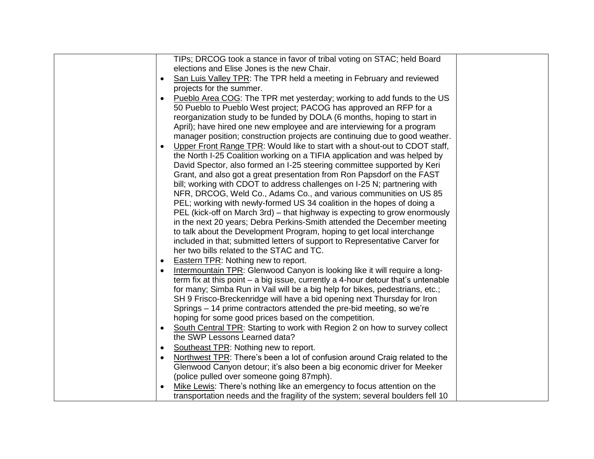| TIPs; DRCOG took a stance in favor of tribal voting on STAC; held Board                 |  |
|-----------------------------------------------------------------------------------------|--|
| elections and Elise Jones is the new Chair.                                             |  |
| San Luis Valley TPR: The TPR held a meeting in February and reviewed<br>$\bullet$       |  |
| projects for the summer.                                                                |  |
| Pueblo Area COG: The TPR met yesterday; working to add funds to the US                  |  |
| 50 Pueblo to Pueblo West project; PACOG has approved an RFP for a                       |  |
| reorganization study to be funded by DOLA (6 months, hoping to start in                 |  |
| April); have hired one new employee and are interviewing for a program                  |  |
| manager position; construction projects are continuing due to good weather.             |  |
| Upper Front Range TPR: Would like to start with a shout-out to CDOT staff,              |  |
| the North I-25 Coalition working on a TIFIA application and was helped by               |  |
| David Spector, also formed an I-25 steering committee supported by Keri                 |  |
| Grant, and also got a great presentation from Ron Papsdorf on the FAST                  |  |
| bill; working with CDOT to address challenges on I-25 N; partnering with                |  |
| NFR, DRCOG, Weld Co., Adams Co., and various communities on US 85                       |  |
| PEL; working with newly-formed US 34 coalition in the hopes of doing a                  |  |
| PEL (kick-off on March 3rd) – that highway is expecting to grow enormously              |  |
| in the next 20 years; Debra Perkins-Smith attended the December meeting                 |  |
| to talk about the Development Program, hoping to get local interchange                  |  |
| included in that; submitted letters of support to Representative Carver for             |  |
| her two bills related to the STAC and TC.                                               |  |
| <b>Eastern TPR: Nothing new to report.</b>                                              |  |
| Intermountain TPR: Glenwood Canyon is looking like it will require a long-              |  |
| term fix at this point – a big issue, currently a 4-hour detour that's untenable        |  |
| for many; Simba Run in Vail will be a big help for bikes, pedestrians, etc.;            |  |
| SH 9 Frisco-Breckenridge will have a bid opening next Thursday for Iron                 |  |
| Springs - 14 prime contractors attended the pre-bid meeting, so we're                   |  |
| hoping for some good prices based on the competition.                                   |  |
| South Central TPR: Starting to work with Region 2 on how to survey collect<br>$\bullet$ |  |
| the SWP Lessons Learned data?                                                           |  |
| Southeast TPR: Nothing new to report.<br>$\bullet$                                      |  |
| Northwest TPR: There's been a lot of confusion around Craig related to the              |  |
| Glenwood Canyon detour; it's also been a big economic driver for Meeker                 |  |
| (police pulled over someone going 87mph).                                               |  |
| Mike Lewis: There's nothing like an emergency to focus attention on the                 |  |
| transportation needs and the fragility of the system; several boulders fell 10          |  |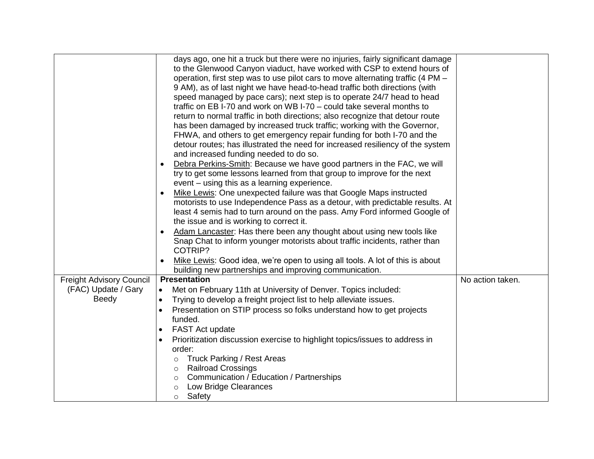|                          | days ago, one hit a truck but there were no injuries, fairly significant damage                                          |                  |
|--------------------------|--------------------------------------------------------------------------------------------------------------------------|------------------|
|                          | to the Glenwood Canyon viaduct, have worked with CSP to extend hours of                                                  |                  |
|                          | operation, first step was to use pilot cars to move alternating traffic (4 PM -                                          |                  |
|                          | 9 AM), as of last night we have head-to-head traffic both directions (with                                               |                  |
|                          | speed managed by pace cars); next step is to operate 24/7 head to head                                                   |                  |
|                          | traffic on EB I-70 and work on WB I-70 - could take several months to                                                    |                  |
|                          |                                                                                                                          |                  |
|                          | return to normal traffic in both directions; also recognize that detour route                                            |                  |
|                          | has been damaged by increased truck traffic; working with the Governor,                                                  |                  |
|                          | FHWA, and others to get emergency repair funding for both I-70 and the                                                   |                  |
|                          | detour routes; has illustrated the need for increased resiliency of the system<br>and increased funding needed to do so. |                  |
|                          |                                                                                                                          |                  |
|                          | Debra Perkins-Smith: Because we have good partners in the FAC, we will                                                   |                  |
|                          | try to get some lessons learned from that group to improve for the next                                                  |                  |
|                          | event - using this as a learning experience.                                                                             |                  |
|                          | Mike Lewis: One unexpected failure was that Google Maps instructed                                                       |                  |
|                          | motorists to use Independence Pass as a detour, with predictable results. At                                             |                  |
|                          | least 4 semis had to turn around on the pass. Amy Ford informed Google of                                                |                  |
|                          | the issue and is working to correct it.                                                                                  |                  |
|                          | Adam Lancaster: Has there been any thought about using new tools like<br>$\bullet$                                       |                  |
|                          | Snap Chat to inform younger motorists about traffic incidents, rather than<br>COTRIP?                                    |                  |
|                          |                                                                                                                          |                  |
|                          | Mike Lewis: Good idea, we're open to using all tools. A lot of this is about                                             |                  |
|                          | building new partnerships and improving communication.                                                                   |                  |
| Freight Advisory Council | <b>Presentation</b>                                                                                                      | No action taken. |
| (FAC) Update / Gary      | Met on February 11th at University of Denver. Topics included:<br>$\bullet$                                              |                  |
| <b>Beedy</b>             | Trying to develop a freight project list to help alleviate issues.<br>$\bullet$                                          |                  |
|                          | Presentation on STIP process so folks understand how to get projects<br>$\bullet$                                        |                  |
|                          | funded.                                                                                                                  |                  |
|                          | FAST Act update<br>$\bullet$                                                                                             |                  |
|                          | Prioritization discussion exercise to highlight topics/issues to address in                                              |                  |
|                          | order:                                                                                                                   |                  |
|                          | <b>Truck Parking / Rest Areas</b><br>$\circ$                                                                             |                  |
|                          | <b>Railroad Crossings</b><br>$\circ$                                                                                     |                  |
|                          | Communication / Education / Partnerships<br>$\circ$                                                                      |                  |
|                          | Low Bridge Clearances<br>$\circ$                                                                                         |                  |
|                          | Safety<br>$\circ$                                                                                                        |                  |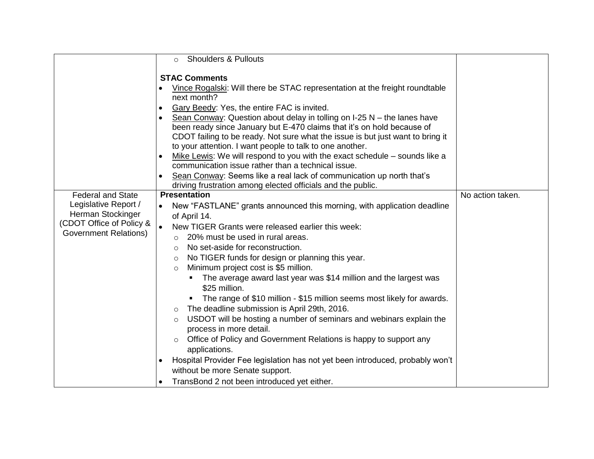|                                                                                                                                   | <b>Shoulders &amp; Pullouts</b><br>$\circ$                                                                                                                                                                                                                                                                                                                                                                                                                                                                                                                                                                                                                                                                                                                                                                                                                                                                                                                                   |                  |
|-----------------------------------------------------------------------------------------------------------------------------------|------------------------------------------------------------------------------------------------------------------------------------------------------------------------------------------------------------------------------------------------------------------------------------------------------------------------------------------------------------------------------------------------------------------------------------------------------------------------------------------------------------------------------------------------------------------------------------------------------------------------------------------------------------------------------------------------------------------------------------------------------------------------------------------------------------------------------------------------------------------------------------------------------------------------------------------------------------------------------|------------------|
| <b>Federal and State</b><br>Legislative Report /<br>Herman Stockinger<br>(CDOT Office of Policy &<br><b>Government Relations)</b> | <b>STAC Comments</b><br>Vince Rogalski: Will there be STAC representation at the freight roundtable<br>next month?<br>Gary Beedy: Yes, the entire FAC is invited.<br>$\bullet$<br>Sean Conway: Question about delay in tolling on $I-25$ N – the lanes have<br>$\bullet$<br>been ready since January but E-470 claims that it's on hold because of<br>CDOT failing to be ready. Not sure what the issue is but just want to bring it<br>to your attention. I want people to talk to one another.<br>Mike Lewis: We will respond to you with the exact schedule - sounds like a<br>communication issue rather than a technical issue.<br>Sean Conway: Seems like a real lack of communication up north that's<br>driving frustration among elected officials and the public.<br><b>Presentation</b><br>New "FASTLANE" grants announced this morning, with application deadline<br>$\bullet$<br>of April 14.<br>$\bullet$<br>New TIGER Grants were released earlier this week: | No action taken. |
|                                                                                                                                   | 20% must be used in rural areas.<br>$\circ$<br>No set-aside for reconstruction.<br>$\circ$<br>No TIGER funds for design or planning this year.<br>$\circ$<br>Minimum project cost is \$5 million.<br>$\circ$                                                                                                                                                                                                                                                                                                                                                                                                                                                                                                                                                                                                                                                                                                                                                                 |                  |
|                                                                                                                                   | The average award last year was \$14 million and the largest was<br>\$25 million.<br>• The range of \$10 million - \$15 million seems most likely for awards.<br>The deadline submission is April 29th, 2016.<br>$\circ$<br>USDOT will be hosting a number of seminars and webinars explain the<br>$\circ$<br>process in more detail.                                                                                                                                                                                                                                                                                                                                                                                                                                                                                                                                                                                                                                        |                  |
|                                                                                                                                   | Office of Policy and Government Relations is happy to support any<br>applications.<br>Hospital Provider Fee legislation has not yet been introduced, probably won't<br>without be more Senate support.<br>TransBond 2 not been introduced yet either.                                                                                                                                                                                                                                                                                                                                                                                                                                                                                                                                                                                                                                                                                                                        |                  |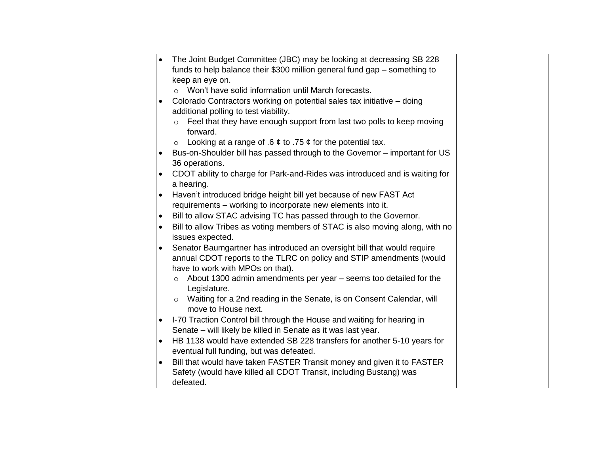| The Joint Budget Committee (JBC) may be looking at decreasing SB 228                 |  |
|--------------------------------------------------------------------------------------|--|
| funds to help balance their \$300 million general fund gap – something to            |  |
| keep an eye on.                                                                      |  |
| o Won't have solid information until March forecasts.                                |  |
| Colorado Contractors working on potential sales tax initiative - doing               |  |
| additional polling to test viability.                                                |  |
| Feel that they have enough support from last two polls to keep moving                |  |
| forward.                                                                             |  |
| Looking at a range of .6 $\phi$ to .75 $\phi$ for the potential tax.<br>$\circ$      |  |
| Bus-on-Shoulder bill has passed through to the Governor – important for US           |  |
| 36 operations.                                                                       |  |
| CDOT ability to charge for Park-and-Rides was introduced and is waiting for          |  |
| a hearing.                                                                           |  |
| Haven't introduced bridge height bill yet because of new FAST Act                    |  |
| requirements – working to incorporate new elements into it.                          |  |
| Bill to allow STAC advising TC has passed through to the Governor.<br>$\bullet$      |  |
| Bill to allow Tribes as voting members of STAC is also moving along, with no         |  |
| issues expected.                                                                     |  |
| Senator Baumgartner has introduced an oversight bill that would require<br>$\bullet$ |  |
| annual CDOT reports to the TLRC on policy and STIP amendments (would                 |  |
| have to work with MPOs on that).                                                     |  |
| About 1300 admin amendments per year – seems too detailed for the<br>$\circ$         |  |
| Legislature.                                                                         |  |
| Waiting for a 2nd reading in the Senate, is on Consent Calendar, will                |  |
| move to House next.                                                                  |  |
| I-70 Traction Control bill through the House and waiting for hearing in              |  |
| Senate - will likely be killed in Senate as it was last year.                        |  |
| HB 1138 would have extended SB 228 transfers for another 5-10 years for              |  |
| eventual full funding, but was defeated.                                             |  |
| Bill that would have taken FASTER Transit money and given it to FASTER               |  |
| Safety (would have killed all CDOT Transit, including Bustang) was                   |  |
| defeated.                                                                            |  |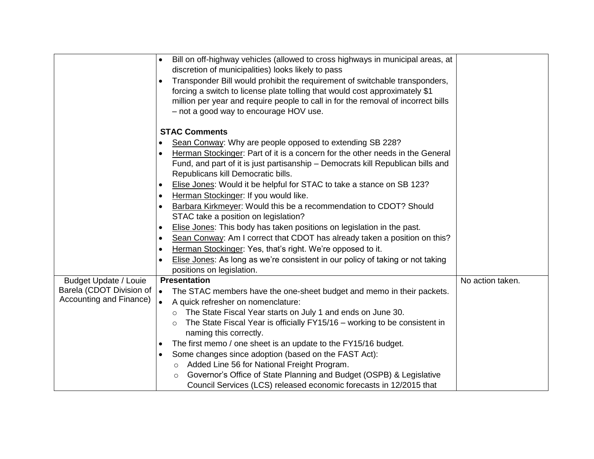| Bill on off-highway vehicles (allowed to cross highways in municipal areas, at<br>$\bullet$<br>discretion of municipalities) looks likely to pass<br>Transponder Bill would prohibit the requirement of switchable transponders,<br>forcing a switch to license plate tolling that would cost approximately \$1<br>million per year and require people to call in for the removal of incorrect bills<br>- not a good way to encourage HOV use. |  |
|------------------------------------------------------------------------------------------------------------------------------------------------------------------------------------------------------------------------------------------------------------------------------------------------------------------------------------------------------------------------------------------------------------------------------------------------|--|
| <b>STAC Comments</b>                                                                                                                                                                                                                                                                                                                                                                                                                           |  |
| Sean Conway: Why are people opposed to extending SB 228?                                                                                                                                                                                                                                                                                                                                                                                       |  |
| Herman Stockinger: Part of it is a concern for the other needs in the General                                                                                                                                                                                                                                                                                                                                                                  |  |
| Fund, and part of it is just partisanship - Democrats kill Republican bills and                                                                                                                                                                                                                                                                                                                                                                |  |
| Republicans kill Democratic bills.                                                                                                                                                                                                                                                                                                                                                                                                             |  |
| Elise Jones: Would it be helpful for STAC to take a stance on SB 123?                                                                                                                                                                                                                                                                                                                                                                          |  |
| Herman Stockinger: If you would like.<br>$\bullet$                                                                                                                                                                                                                                                                                                                                                                                             |  |
| Barbara Kirkmeyer: Would this be a recommendation to CDOT? Should                                                                                                                                                                                                                                                                                                                                                                              |  |
| STAC take a position on legislation?                                                                                                                                                                                                                                                                                                                                                                                                           |  |
| Elise Jones: This body has taken positions on legislation in the past.<br>$\bullet$                                                                                                                                                                                                                                                                                                                                                            |  |
| Sean Conway: Am I correct that CDOT has already taken a position on this?<br>$\bullet$                                                                                                                                                                                                                                                                                                                                                         |  |
| Herman Stockinger: Yes, that's right. We're opposed to it.                                                                                                                                                                                                                                                                                                                                                                                     |  |
| Elise Jones: As long as we're consistent in our policy of taking or not taking                                                                                                                                                                                                                                                                                                                                                                 |  |
| positions on legislation.                                                                                                                                                                                                                                                                                                                                                                                                                      |  |
| <b>Budget Update / Louie</b><br>No action taken.<br><b>Presentation</b>                                                                                                                                                                                                                                                                                                                                                                        |  |
| Barela (CDOT Division of<br>$\bullet$<br>The STAC members have the one-sheet budget and memo in their packets.<br>Accounting and Finance)                                                                                                                                                                                                                                                                                                      |  |
| A quick refresher on nomenclature:<br>$\bullet$                                                                                                                                                                                                                                                                                                                                                                                                |  |
| The State Fiscal Year starts on July 1 and ends on June 30.<br>$\circ$                                                                                                                                                                                                                                                                                                                                                                         |  |
| The State Fiscal Year is officially FY15/16 - working to be consistent in<br>$\circ$                                                                                                                                                                                                                                                                                                                                                           |  |
| naming this correctly.                                                                                                                                                                                                                                                                                                                                                                                                                         |  |
| The first memo / one sheet is an update to the FY15/16 budget.                                                                                                                                                                                                                                                                                                                                                                                 |  |
| Some changes since adoption (based on the FAST Act):<br>Added Line 56 for National Freight Program.                                                                                                                                                                                                                                                                                                                                            |  |
| $\circ$<br>Governor's Office of State Planning and Budget (OSPB) & Legislative                                                                                                                                                                                                                                                                                                                                                                 |  |
| Council Services (LCS) released economic forecasts in 12/2015 that                                                                                                                                                                                                                                                                                                                                                                             |  |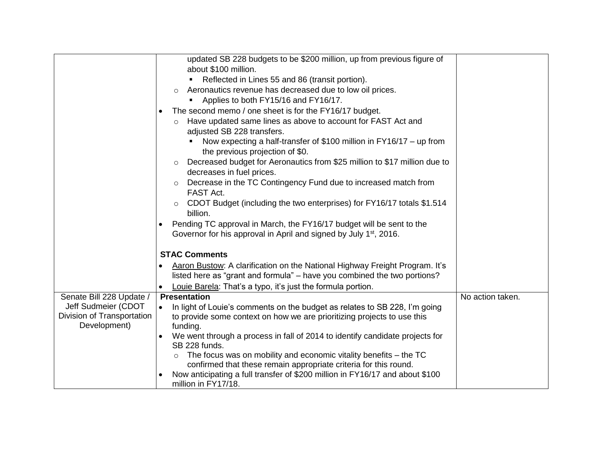|                            | updated SB 228 budgets to be \$200 million, up from previous figure of                  |                  |
|----------------------------|-----------------------------------------------------------------------------------------|------------------|
|                            | about \$100 million.                                                                    |                  |
|                            |                                                                                         |                  |
|                            | Reflected in Lines 55 and 86 (transit portion).                                         |                  |
|                            | Aeronautics revenue has decreased due to low oil prices.<br>$\circ$                     |                  |
|                            | Applies to both FY15/16 and FY16/17.                                                    |                  |
|                            | The second memo / one sheet is for the FY16/17 budget.                                  |                  |
|                            | Have updated same lines as above to account for FAST Act and<br>$\circ$                 |                  |
|                            | adjusted SB 228 transfers.                                                              |                  |
|                            | Now expecting a half-transfer of \$100 million in FY16/17 - up from                     |                  |
|                            | the previous projection of \$0.                                                         |                  |
|                            | Decreased budget for Aeronautics from \$25 million to \$17 million due to<br>$\circ$    |                  |
|                            | decreases in fuel prices.                                                               |                  |
|                            | Decrease in the TC Contingency Fund due to increased match from<br>$\circ$              |                  |
|                            | FAST Act.                                                                               |                  |
|                            | CDOT Budget (including the two enterprises) for FY16/17 totals \$1.514<br>$\circ$       |                  |
|                            | billion.                                                                                |                  |
|                            |                                                                                         |                  |
|                            | Pending TC approval in March, the FY16/17 budget will be sent to the                    |                  |
|                            | Governor for his approval in April and signed by July 1 <sup>st</sup> , 2016.           |                  |
|                            | <b>STAC Comments</b>                                                                    |                  |
|                            |                                                                                         |                  |
|                            | Aaron Bustow: A clarification on the National Highway Freight Program. It's             |                  |
|                            | listed here as "grant and formula" – have you combined the two portions?                |                  |
|                            | Louie Barela: That's a typo, it's just the formula portion.                             |                  |
| Senate Bill 228 Update /   | <b>Presentation</b>                                                                     | No action taken. |
| Jeff Sudmeier (CDOT        | In light of Louie's comments on the budget as relates to SB 228, I'm going<br>$\bullet$ |                  |
| Division of Transportation | to provide some context on how we are prioritizing projects to use this                 |                  |
| Development)               | funding.                                                                                |                  |
|                            | We went through a process in fall of 2014 to identify candidate projects for            |                  |
|                            | SB 228 funds.                                                                           |                  |
|                            | The focus was on mobility and economic vitality benefits – the TC<br>$\circ$            |                  |
|                            | confirmed that these remain appropriate criteria for this round.                        |                  |
|                            | Now anticipating a full transfer of \$200 million in FY16/17 and about \$100            |                  |
|                            | million in FY17/18.                                                                     |                  |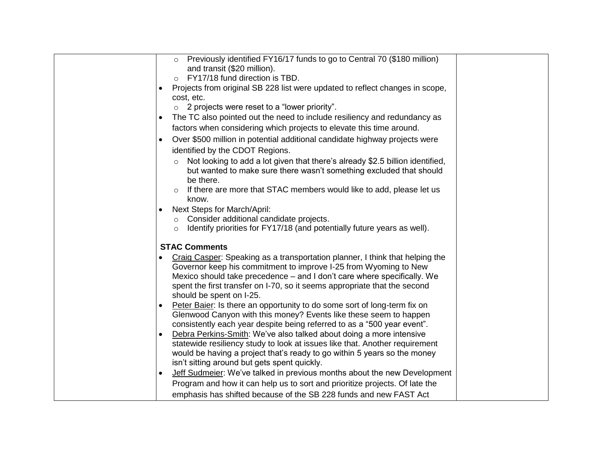| Previously identified FY16/17 funds to go to Central 70 (\$180 million)<br>$\circ$                                                                                                                                                                                                                                                   |  |
|--------------------------------------------------------------------------------------------------------------------------------------------------------------------------------------------------------------------------------------------------------------------------------------------------------------------------------------|--|
| and transit (\$20 million).<br>FY17/18 fund direction is TBD.                                                                                                                                                                                                                                                                        |  |
| Projects from original SB 228 list were updated to reflect changes in scope,                                                                                                                                                                                                                                                         |  |
| cost, etc.                                                                                                                                                                                                                                                                                                                           |  |
| $\circ$ 2 projects were reset to a "lower priority".                                                                                                                                                                                                                                                                                 |  |
| The TC also pointed out the need to include resiliency and redundancy as                                                                                                                                                                                                                                                             |  |
| factors when considering which projects to elevate this time around.                                                                                                                                                                                                                                                                 |  |
| Over \$500 million in potential additional candidate highway projects were                                                                                                                                                                                                                                                           |  |
| identified by the CDOT Regions.                                                                                                                                                                                                                                                                                                      |  |
| Not looking to add a lot given that there's already \$2.5 billion identified,<br>$\circ$<br>but wanted to make sure there wasn't something excluded that should<br>be there.                                                                                                                                                         |  |
| If there are more that STAC members would like to add, please let us<br>$\circ$                                                                                                                                                                                                                                                      |  |
| know.                                                                                                                                                                                                                                                                                                                                |  |
| Next Steps for March/April:                                                                                                                                                                                                                                                                                                          |  |
| o Consider additional candidate projects.<br>Identify priorities for FY17/18 (and potentially future years as well).                                                                                                                                                                                                                 |  |
| $\circ$                                                                                                                                                                                                                                                                                                                              |  |
| <b>STAC Comments</b>                                                                                                                                                                                                                                                                                                                 |  |
| Craig Casper: Speaking as a transportation planner, I think that helping the<br>Governor keep his commitment to improve I-25 from Wyoming to New<br>Mexico should take precedence – and I don't care where specifically. We<br>spent the first transfer on I-70, so it seems appropriate that the second<br>should be spent on I-25. |  |
| Peter Baier: Is there an opportunity to do some sort of long-term fix on<br>Glenwood Canyon with this money? Events like these seem to happen<br>consistently each year despite being referred to as a "500 year event".                                                                                                             |  |
| Debra Perkins-Smith: We've also talked about doing a more intensive                                                                                                                                                                                                                                                                  |  |
| statewide resiliency study to look at issues like that. Another requirement<br>would be having a project that's ready to go within 5 years so the money<br>isn't sitting around but gets spent quickly.                                                                                                                              |  |
| Jeff Sudmeier: We've talked in previous months about the new Development                                                                                                                                                                                                                                                             |  |
| Program and how it can help us to sort and prioritize projects. Of late the                                                                                                                                                                                                                                                          |  |
| emphasis has shifted because of the SB 228 funds and new FAST Act                                                                                                                                                                                                                                                                    |  |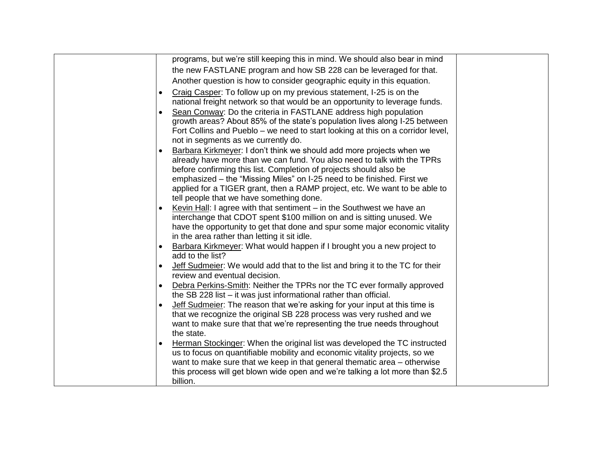| programs, but we're still keeping this in mind. We should also bear in mind                                                                    |  |
|------------------------------------------------------------------------------------------------------------------------------------------------|--|
| the new FASTLANE program and how SB 228 can be leveraged for that.                                                                             |  |
| Another question is how to consider geographic equity in this equation.                                                                        |  |
| Craig Casper: To follow up on my previous statement, I-25 is on the                                                                            |  |
| national freight network so that would be an opportunity to leverage funds.                                                                    |  |
| Sean Conway: Do the criteria in FASTLANE address high population                                                                               |  |
| growth areas? About 85% of the state's population lives along I-25 between                                                                     |  |
| Fort Collins and Pueblo – we need to start looking at this on a corridor level,                                                                |  |
| not in segments as we currently do.                                                                                                            |  |
| Barbara Kirkmeyer: I don't think we should add more projects when we                                                                           |  |
| already have more than we can fund. You also need to talk with the TPRs                                                                        |  |
| before confirming this list. Completion of projects should also be<br>emphasized – the "Missing Miles" on I-25 need to be finished. First we   |  |
| applied for a TIGER grant, then a RAMP project, etc. We want to be able to                                                                     |  |
| tell people that we have something done.                                                                                                       |  |
| Kevin Hall: I agree with that sentiment – in the Southwest we have an                                                                          |  |
| interchange that CDOT spent \$100 million on and is sitting unused. We                                                                         |  |
| have the opportunity to get that done and spur some major economic vitality                                                                    |  |
| in the area rather than letting it sit idle.                                                                                                   |  |
| Barbara Kirkmeyer: What would happen if I brought you a new project to                                                                         |  |
| add to the list?                                                                                                                               |  |
| Jeff Sudmeier: We would add that to the list and bring it to the TC for their                                                                  |  |
| review and eventual decision.                                                                                                                  |  |
| Debra Perkins-Smith: Neither the TPRs nor the TC ever formally approved<br>the SB 228 list $-$ it was just informational rather than official. |  |
| Jeff Sudmeier: The reason that we're asking for your input at this time is                                                                     |  |
| that we recognize the original SB 228 process was very rushed and we                                                                           |  |
| want to make sure that that we're representing the true needs throughout                                                                       |  |
| the state.                                                                                                                                     |  |
| Herman Stockinger: When the original list was developed the TC instructed                                                                      |  |
| us to focus on quantifiable mobility and economic vitality projects, so we                                                                     |  |
| want to make sure that we keep in that general thematic area – otherwise                                                                       |  |
| this process will get blown wide open and we're talking a lot more than \$2.5                                                                  |  |
| billion.                                                                                                                                       |  |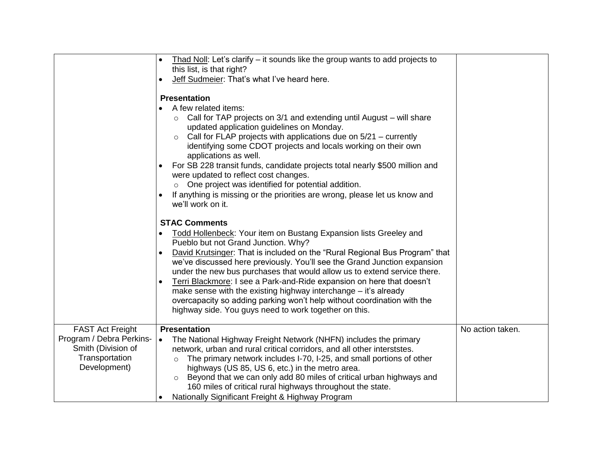|                                                                                                             | Thad Noll: Let's clarify – it sounds like the group wants to add projects to<br>this list, is that right?                                                                                                                                                                                                                                                                                                                                                                                                                                                                                                                                                            |                  |
|-------------------------------------------------------------------------------------------------------------|----------------------------------------------------------------------------------------------------------------------------------------------------------------------------------------------------------------------------------------------------------------------------------------------------------------------------------------------------------------------------------------------------------------------------------------------------------------------------------------------------------------------------------------------------------------------------------------------------------------------------------------------------------------------|------------------|
|                                                                                                             | Jeff Sudmeier: That's what I've heard here.                                                                                                                                                                                                                                                                                                                                                                                                                                                                                                                                                                                                                          |                  |
|                                                                                                             | <b>Presentation</b><br>A few related items:<br>Call for TAP projects on 3/1 and extending until August – will share<br>updated application guidelines on Monday.<br>Call for FLAP projects with applications due on 5/21 – currently<br>$\circ$<br>identifying some CDOT projects and locals working on their own<br>applications as well.<br>For SB 228 transit funds, candidate projects total nearly \$500 million and<br>were updated to reflect cost changes.<br>One project was identified for potential addition.<br>$\circ$<br>If anything is missing or the priorities are wrong, please let us know and<br>we'll work on it.                               |                  |
|                                                                                                             | <b>STAC Comments</b><br>Todd Hollenbeck: Your item on Bustang Expansion lists Greeley and<br>Pueblo but not Grand Junction. Why?<br>David Krutsinger: That is included on the "Rural Regional Bus Program" that<br>we've discussed here previously. You'll see the Grand Junction expansion<br>under the new bus purchases that would allow us to extend service there.<br>Terri Blackmore: I see a Park-and-Ride expansion on here that doesn't<br>$\bullet$<br>make sense with the existing highway interchange – it's already<br>overcapacity so adding parking won't help without coordination with the<br>highway side. You guys need to work together on this. |                  |
| <b>FAST Act Freight</b><br>Program / Debra Perkins-<br>Smith (Division of<br>Transportation<br>Development) | <b>Presentation</b><br>The National Highway Freight Network (NHFN) includes the primary<br>$\bullet$<br>network, urban and rural critical corridors, and all other interststes.<br>The primary network includes I-70, I-25, and small portions of other<br>$\circ$<br>highways (US 85, US 6, etc.) in the metro area.<br>Beyond that we can only add 80 miles of critical urban highways and<br>$\circ$<br>160 miles of critical rural highways throughout the state.<br>Nationally Significant Freight & Highway Program                                                                                                                                            | No action taken. |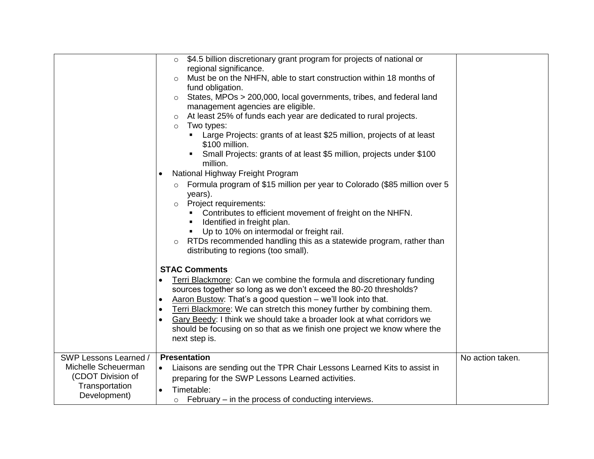|                                                                                                     | \$4.5 billion discretionary grant program for projects of national or<br>$\circ$<br>regional significance.<br>Must be on the NHFN, able to start construction within 18 months of<br>O<br>fund obligation.<br>States, MPOs > 200,000, local governments, tribes, and federal land<br>$\circ$<br>management agencies are eligible.<br>At least 25% of funds each year are dedicated to rural projects.<br>O                                                                                                   |                  |
|-----------------------------------------------------------------------------------------------------|--------------------------------------------------------------------------------------------------------------------------------------------------------------------------------------------------------------------------------------------------------------------------------------------------------------------------------------------------------------------------------------------------------------------------------------------------------------------------------------------------------------|------------------|
|                                                                                                     | Two types:<br>$\circ$<br>Large Projects: grants of at least \$25 million, projects of at least<br>\$100 million.<br>Small Projects: grants of at least \$5 million, projects under \$100<br>$\blacksquare$<br>million.<br>National Highway Freight Program                                                                                                                                                                                                                                                   |                  |
|                                                                                                     | Formula program of \$15 million per year to Colorado (\$85 million over 5<br>$\circ$<br>years).<br>Project requirements:<br>$\circ$<br>Contributes to efficient movement of freight on the NHFN.<br>Identified in freight plan.<br>Up to 10% on intermodal or freight rail.<br>RTDs recommended handling this as a statewide program, rather than<br>distributing to regions (too small).                                                                                                                    |                  |
|                                                                                                     | <b>STAC Comments</b><br>Terri Blackmore: Can we combine the formula and discretionary funding<br>sources together so long as we don't exceed the 80-20 thresholds?<br>Aaron Bustow: That's a good question - we'll look into that.<br>$\bullet$<br>Terri Blackmore: We can stretch this money further by combining them.<br>$\bullet$<br>Gary Beedy: I think we should take a broader look at what corridors we<br>should be focusing on so that as we finish one project we know where the<br>next step is. |                  |
| SWP Lessons Learned /<br>Michelle Scheuerman<br>(CDOT Division of<br>Transportation<br>Development) | Presentation<br>Liaisons are sending out the TPR Chair Lessons Learned Kits to assist in<br>$\bullet$<br>preparing for the SWP Lessons Learned activities.<br>Timetable:<br>$\bullet$<br>$\circ$ February – in the process of conducting interviews.                                                                                                                                                                                                                                                         | No action taken. |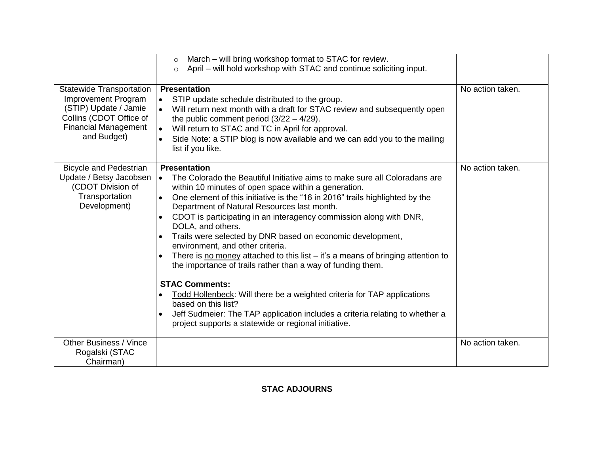|                                                                                                                                                          | March - will bring workshop format to STAC for review.<br>$\circ$<br>April – will hold workshop with STAC and continue soliciting input.<br>$\circ$                                                                                                                                                                                                                                                                                                                                                                                                                                                                                                                                                                                                                                                                                                                                                                                    |                  |
|----------------------------------------------------------------------------------------------------------------------------------------------------------|----------------------------------------------------------------------------------------------------------------------------------------------------------------------------------------------------------------------------------------------------------------------------------------------------------------------------------------------------------------------------------------------------------------------------------------------------------------------------------------------------------------------------------------------------------------------------------------------------------------------------------------------------------------------------------------------------------------------------------------------------------------------------------------------------------------------------------------------------------------------------------------------------------------------------------------|------------------|
| <b>Statewide Transportation</b><br>Improvement Program<br>(STIP) Update / Jamie<br>Collins (CDOT Office of<br><b>Financial Management</b><br>and Budget) | <b>Presentation</b><br>STIP update schedule distributed to the group.<br>$\bullet$<br>Will return next month with a draft for STAC review and subsequently open<br>$\bullet$<br>the public comment period $(3/22 - 4/29)$ .<br>Will return to STAC and TC in April for approval.<br>$\bullet$<br>Side Note: a STIP blog is now available and we can add you to the mailing<br>$\bullet$<br>list if you like.                                                                                                                                                                                                                                                                                                                                                                                                                                                                                                                           | No action taken. |
| <b>Bicycle and Pedestrian</b><br>Update / Betsy Jacobsen<br>(CDOT Division of<br>Transportation<br>Development)                                          | <b>Presentation</b><br>The Colorado the Beautiful Initiative aims to make sure all Coloradans are<br>$\bullet$<br>within 10 minutes of open space within a generation.<br>One element of this initiative is the "16 in 2016" trails highlighted by the<br>$\bullet$<br>Department of Natural Resources last month.<br>CDOT is participating in an interagency commission along with DNR,<br>DOLA, and others.<br>Trails were selected by DNR based on economic development,<br>environment, and other criteria.<br>There is no money attached to this list $-$ it's a means of bringing attention to<br>the importance of trails rather than a way of funding them.<br><b>STAC Comments:</b><br>Todd Hollenbeck: Will there be a weighted criteria for TAP applications<br>based on this list?<br>Jeff Sudmeier: The TAP application includes a criteria relating to whether a<br>project supports a statewide or regional initiative. | No action taken. |
| <b>Other Business / Vince</b><br>Rogalski (STAC<br>Chairman)                                                                                             |                                                                                                                                                                                                                                                                                                                                                                                                                                                                                                                                                                                                                                                                                                                                                                                                                                                                                                                                        | No action taken. |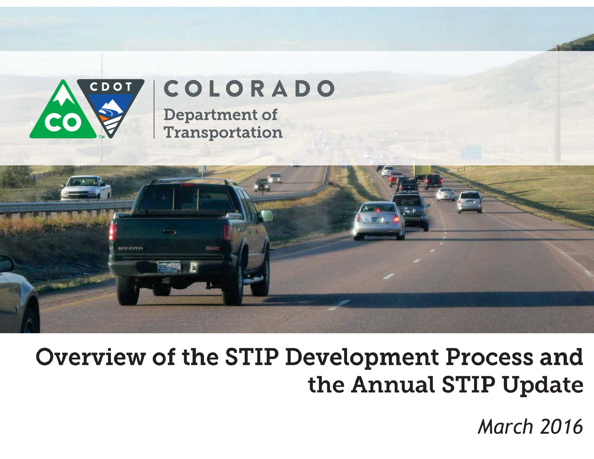

# COLORADO

**Department of Transportation** 



# Overview of the STIP Development Process and the Annual STIP Update

*March 2016*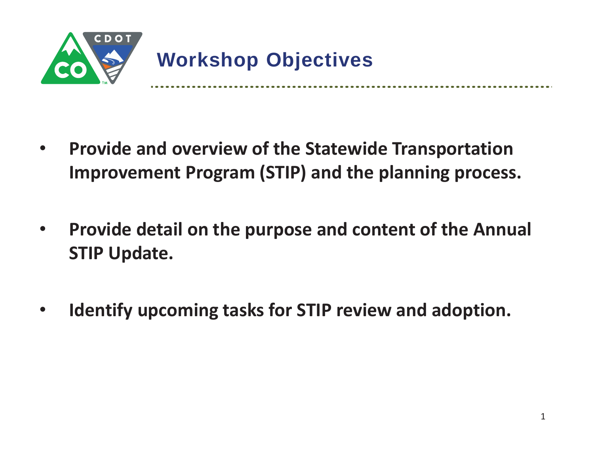

 $\bullet$  **Provide and overview of the Statewide Transportation Improvement Program (STIP) and the planning process.** 

- $\bullet$  **Provide detail on the purpose and content of the Annual STIP Update.**
- $\bullet$ **Identify upcoming tasks for STIP review and adoption.**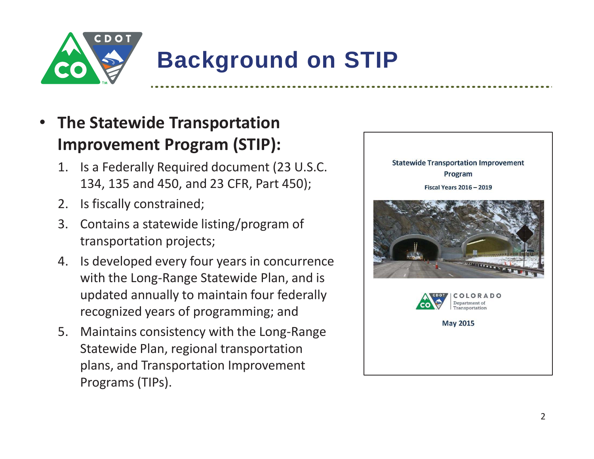

# **Background on STIP**

### • **The Statewide Transportation Improvement Program (STIP):**

- 1. Is a Federally Required document (23 U.S.C. 134, 135 and 450, and 23 CFR, Part 450);
- 2. Is fiscally constrained;
- 3. Contains a statewide listing/program of transportation projects;
- 4. Is developed every four years in concurrence with the Long-Range Statewide Plan, and is updated annually to maintain four federally recognized years of programming; and
- 5. Maintains consistency with the Long-Range Statewide Plan, regional transportation plans, and Transportation Improvement Programs (TIPs).

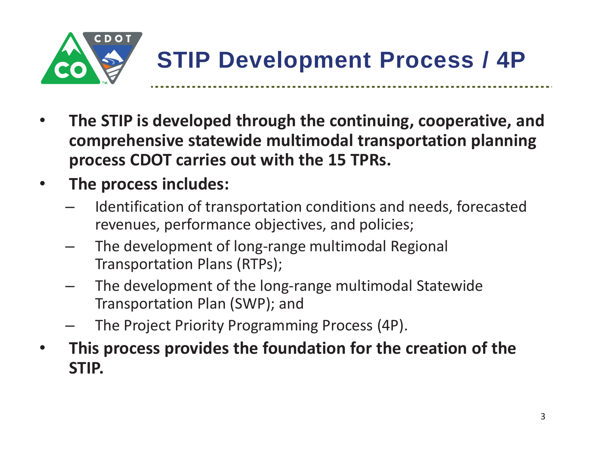

- • **The STIP is developed through the continuing, cooperative, and comprehensive statewide multimodal transportation planning process CDOT carries out with the 15 TPRs.**
- $\bullet$  **The process includes:** 
	- Identification of transportation conditions and needs, forecasted revenues, performance objectives, and policies;
	- The development of long-range multimodal Regional Transportation Plans (RTPs);
	- The development of the long-range multimodal Statewide Transportation Plan (SWP); and
	- The Project Priority Programming Process (4P).
- • **This process provides the foundation for the creation of the STIP.**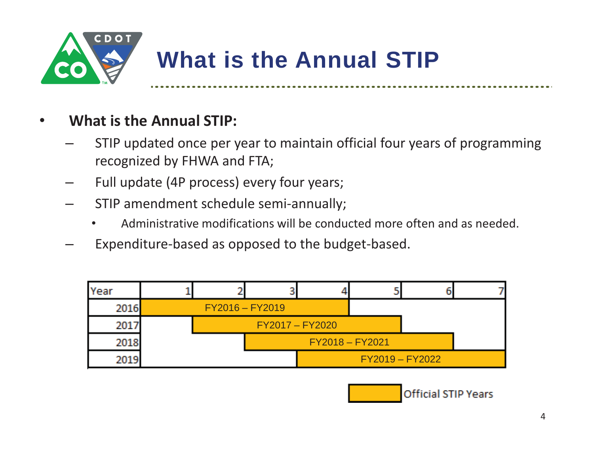

### •**What is the Annual STIP:**

- STIP updated once per year to maintain official four years of programming recognized by FHWA and FTA;
- –Full update (4P process) every four years;
- $\mathcal{L}_{\mathcal{A}}$  STIP amendment schedule semi-annually;
	- •Administrative modifications will be conducted more often and as needed.
- –Expenditure-based as opposed to the budget-based.



**Official STIP Years**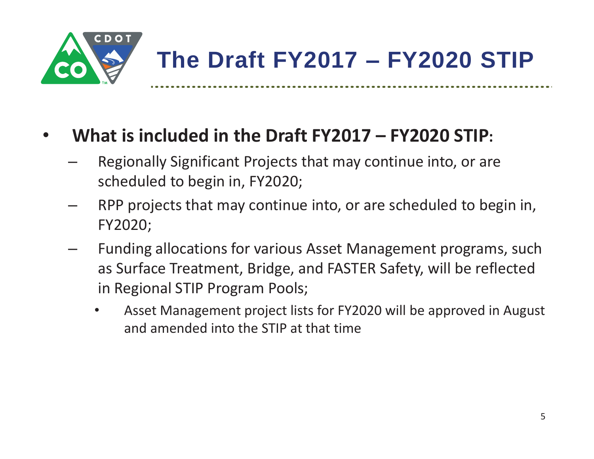

### •**What is included in the Draft FY2017 – FY2020 STIP:**

- Regionally Significant Projects that may continue into, or are scheduled to begin in, FY2020;
- $\mathcal{L}_{\mathcal{A}}$  , where  $\mathcal{L}_{\mathcal{A}}$  is the set of the set of the set of the set of the set of the set of the set of the set of the set of the set of the set of the set of the set of the set of the set of the set of the RPP projects that may continue into, or are scheduled to begin in, FY2020;
- Funding allocations for various Asset Management programs, such as Surface Treatment, Bridge, and FASTER Safety, will be reflected in Regional STIP Program Pools;
	- • Asset Management project lists for FY2020 will be approved in August and amended into the STIP at that time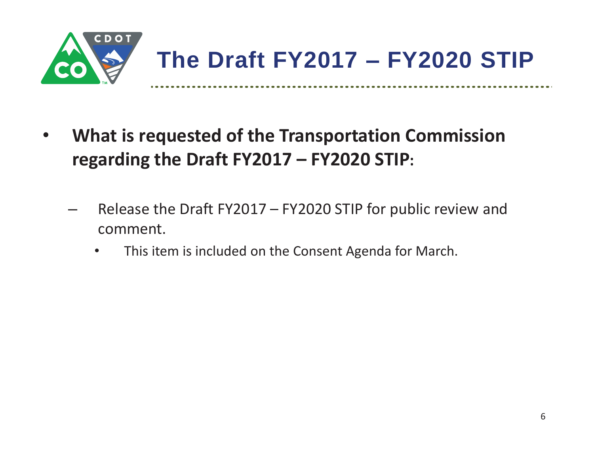

- $\bullet$  **What is requested of the Transportation Commission regarding the Draft FY2017 – FY2020 STIP:**
	- $\mathcal{L}_{\mathcal{A}}$  , where  $\mathcal{L}_{\mathcal{A}}$  is the set of the set of the set of the set of the set of the set of the set of the set of the set of the set of the set of the set of the set of the set of the set of the set of the Release the Draft FY2017 – FY2020 STIP for public review and comment.
		- $\bullet$ This item is included on the Consent Agenda for March.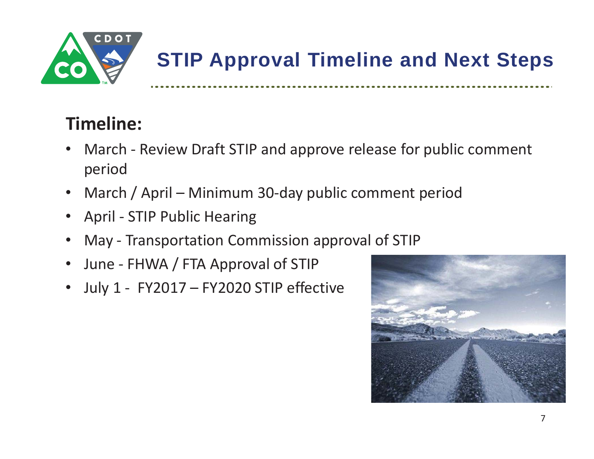

# **STIP Approval Timeline and Next Steps**

## **Timeline:**

- • March - Review Draft STIP and approve release for public comment period
- $\bullet$ March / April – Minimum 30-day public comment period
- $\bullet$ April - STIP Public Hearing
- •May - Transportation Commission approval of STIP
- $\bullet$ June - FHWA / FTA Approval of STIP
- •July 1 - FY2017 – FY2020 STIP effective

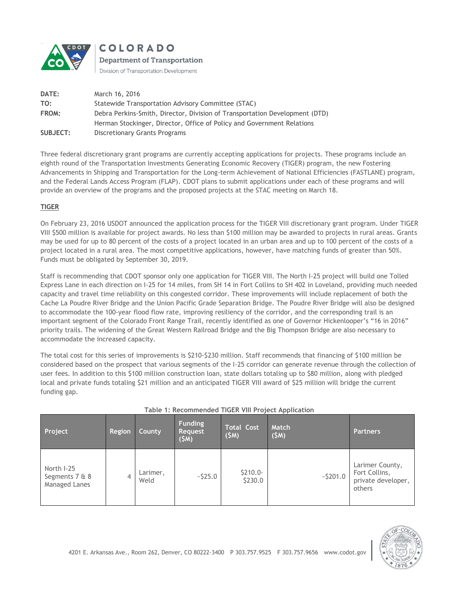

**COLORADO** Department of Transportation

Division of Transportation Development

| <b>DATE:</b> | March 16, 2016                                                              |
|--------------|-----------------------------------------------------------------------------|
| TO:          | Statewide Transportation Advisory Committee (STAC)                          |
| FROM:        | Debra Perkins-Smith, Director, Division of Transportation Development (DTD) |
|              | Herman Stockinger, Director, Office of Policy and Government Relations      |
| SUBJECT:     | <b>Discretionary Grants Programs</b>                                        |

Three federal discretionary grant programs are currently accepting applications for projects. These programs include an eighth round of the Transportation Investments Generating Economic Recovery (TIGER) program, the new Fostering Advancements in Shipping and Transportation for the Long-term Achievement of National Efficiencies (FASTLANE) program, and the Federal Lands Access Program (FLAP). CDOT plans to submit applications under each of these programs and will provide an overview of the programs and the proposed projects at the STAC meeting on March 18.

### **TIGER**

On February 23, 2016 USDOT announced the application process for the TIGER VIII discretionary grant program. Under TIGER VIII \$500 million is available for project awards. No less than \$100 million may be awarded to projects in rural areas. Grants may be used for up to 80 percent of the costs of a project located in an urban area and up to 100 percent of the costs of a project located in a rural area. The most competitive applications, however, have matching funds of greater than 50%. Funds must be obligated by September 30, 2019.

Staff is recommending that CDOT sponsor only one application for TIGER VIII. The North I-25 project will build one Tolled Express Lane in each direction on I-25 for 14 miles, from SH 14 in Fort Collins to SH 402 in Loveland, providing much needed capacity and travel time reliability on this congested corridor. These improvements will include replacement of both the Cache La Poudre River Bridge and the Union Pacific Grade Separation Bridge. The Poudre River Bridge will also be designed to accommodate the 100-year flood flow rate, improving resiliency of the corridor, and the corresponding trail is an important segment of the Colorado Front Range Trail, recently identified as one of Governor Hickenlooper's "16 in 2016" priority trails. The widening of the Great Western Railroad Bridge and the Big Thompson Bridge are also necessary to accommodate the increased capacity.

The total cost for this series of improvements is \$210-\$230 million. Staff recommends that financing of \$100 million be considered based on the prospect that various segments of the I-25 corridor can generate revenue through the collection of user fees. In addition to this \$100 million construction loan, state dollars totaling up to \$80 million, along with pledged local and private funds totaling \$21 million and an anticipated TIGER VIII award of \$25 million will bridge the current funding gap.

| Project                                       | Region | County           | <b>Funding</b><br><b>Request</b><br>(SM) | <b>Total Cost</b><br>(SM) | Match<br>(SM) | <b>Partners</b>                                                  |
|-----------------------------------------------|--------|------------------|------------------------------------------|---------------------------|---------------|------------------------------------------------------------------|
| North I-25<br>Segments 7 & 8<br>Managed Lanes |        | Larimer,<br>Weld | $-525.0$                                 | $$210.0-$<br>\$230.0      | $-5201.0$     | Larimer County,<br>Fort Collins,<br>private developer,<br>others |

|  | Table 1: Recommended TIGER VIII Project Application |  |  |  |
|--|-----------------------------------------------------|--|--|--|
|  |                                                     |  |  |  |

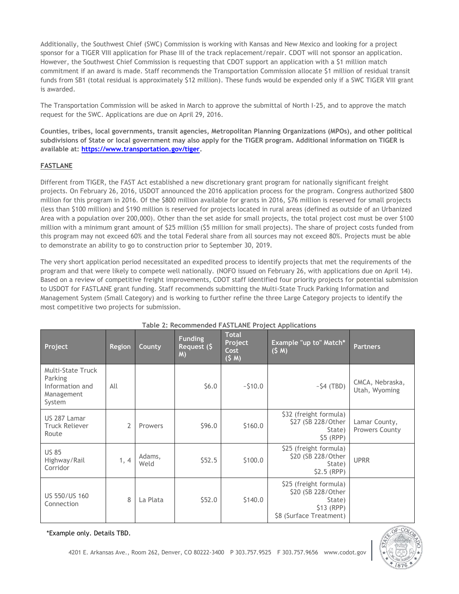Additionally, the Southwest Chief (SWC) Commission is working with Kansas and New Mexico and looking for a project sponsor for a TIGER VIII application for Phase III of the track replacement/repair. CDOT will not sponsor an application. However, the Southwest Chief Commission is requesting that CDOT support an application with a \$1 million match commitment if an award is made. Staff recommends the Transportation Commission allocate \$1 million of residual transit funds from SB1 (total residual is approximately \$12 million). These funds would be expended only if a SWC TIGER VIII grant is awarded.

The Transportation Commission will be asked in March to approve the submittal of North I-25, and to approve the match request for the SWC. Applications are due on April 29, 2016.

**Counties, tribes, local governments, transit agencies, Metropolitan Planning Organizations (MPOs), and other political subdivisions of State or local government may also apply for the TIGER program. Additional information on TIGER is available at: [https://www.transportation.gov/tiger.](https://www.transportation.gov/tiger)**

### **FASTLANE**

Different from TIGER, the FAST Act established a new discretionary grant program for nationally significant freight projects. On February 26, 2016, USDOT announced the 2016 application process for the program. Congress authorized \$800 million for this program in 2016. Of the \$800 million available for grants in 2016, \$76 million is reserved for small projects (less than \$100 million) and \$190 million is reserved for projects located in rural areas (defined as outside of an Urbanized Area with a population over 200,000). Other than the set aside for small projects, the total project cost must be over \$100 million with a minimum grant amount of \$25 million (\$5 million for small projects). The share of project costs funded from this program may not exceed 60% and the total Federal share from all sources may not exceed 80%. Projects must be able to demonstrate an ability to go to construction prior to September 30, 2019.

The very short application period necessitated an expedited process to identify projects that met the requirements of the program and that were likely to compete well nationally. (NOFO issued on February 26, with applications due on April 14). Based on a review of competitive freight improvements, CDOT staff identified four priority projects for potential submission to USDOT for FASTLANE grant funding. Staff recommends submitting the Multi-State Truck Parking Information and Management System (Small Category) and is working to further refine the three Large Category projects to identify the most competitive two projects for submission.

| Project                                                                 | <b>Region</b>  | County         | <b>Funding</b><br>Request (\$<br>M) | <b>Total</b><br>Project<br>Cost<br>(5 M) | Example "up to" Match*<br>(5 M)                                                                  | <b>Partners</b>                  |
|-------------------------------------------------------------------------|----------------|----------------|-------------------------------------|------------------------------------------|--------------------------------------------------------------------------------------------------|----------------------------------|
| Multi-State Truck<br>Parking<br>Information and<br>Management<br>System | All            |                | \$6.0\$                             | $-510.0$                                 | $~54$ (TBD)                                                                                      | CMCA, Nebraska,<br>Utah, Wyoming |
| US 287 Lamar<br><b>Truck Reliever</b><br>Route                          | $\overline{2}$ | Prowers        | \$96.0                              | \$160.0                                  | \$32 (freight formula)<br>\$27 (SB 228/Other<br>State)<br>$$5$ (RPP)                             | Lamar County,<br>Prowers County  |
| <b>US 85</b><br>Highway/Rail<br>Corridor                                | 1, 4           | Adams,<br>Weld | \$52.5                              | \$100.0                                  | \$25 (freight formula)<br>\$20 (SB 228/Other<br>State)<br>$$2.5$ (RPP)                           | <b>UPRR</b>                      |
| US 550/US 160<br>Connection                                             | 8              | La Plata       | \$52.0                              | \$140.0                                  | \$25 (freight formula)<br>\$20 (SB 228/Other<br>State)<br>$$13$ (RPP)<br>\$8 (Surface Treatment) |                                  |

#### **Table 2: Recommended FASTLANE Project Applications**

\*Example only. Details TBD.

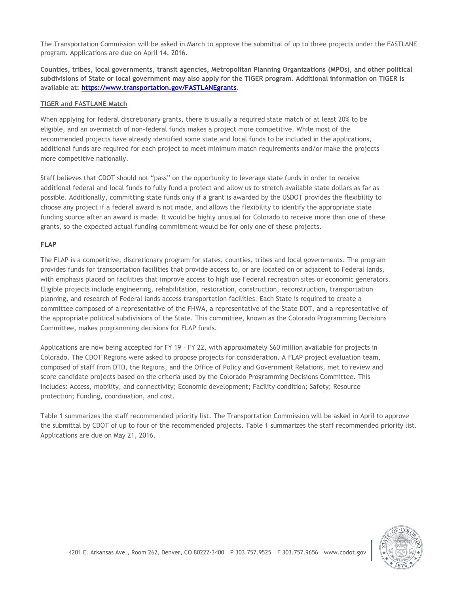The Transportation Commission will be asked in March to approve the submittal of up to three projects under the FASTLANE program. Applications are due on April 14, 2016.

**Counties, tribes, local governments, transit agencies, Metropolitan Planning Organizations (MPOs), and other political subdivisions of State or local government may also apply for the TIGER program. Additional information on TIGER is available at: [https://www.transportation.gov/FASTLANEgrants.](https://www.transportation.gov/FASTLANEgrants)**

#### **TIGER and FASTLANE Match**

When applying for federal discretionary grants, there is usually a required state match of at least 20% to be eligible, and an overmatch of non-federal funds makes a project more competitive. While most of the recommended projects have already identified some state and local funds to be included in the applications, additional funds are required for each project to meet minimum match requirements and/or make the projects more competitive nationally.

Staff believes that CDOT should not "pass" on the opportunity to leverage state funds in order to receive additional federal and local funds to fully fund a project and allow us to stretch available state dollars as far as possible. Additionally, committing state funds only if a grant is awarded by the USDOT provides the flexibility to choose any project if a federal award is not made, and allows the flexibility to identify the appropriate state funding source after an award is made. It would be highly unusual for Colorado to receive more than one of these grants, so the expected actual funding commitment would be for only one of these projects.

### **FLAP**

The FLAP is a competitive, discretionary program for states, counties, tribes and local governments. The program provides funds for transportation facilities that provide access to, or are located on or adjacent to Federal lands, with emphasis placed on facilities that improve access to high use Federal recreation sites or economic generators. Eligible projects include engineering, rehabilitation, restoration, construction, reconstruction, transportation planning, and research of Federal lands access transportation facilities. Each State is required to create a committee composed of a representative of the FHWA, a representative of the State DOT, and a representative of the appropriate political subdivisions of the State. This committee, known as the Colorado Programming Decisions Committee, makes programming decisions for FLAP funds.

Applications are now being accepted for FY 19 – FY 22, with approximately \$60 million available for projects in Colorado. The CDOT Regions were asked to propose projects for consideration. A FLAP project evaluation team, composed of staff from DTD, the Regions, and the Office of Policy and Government Relations, met to review and score candidate projects based on the criteria used by the Colorado Programming Decisions Committee. This includes: Access, mobility, and connectivity; Economic development; Facility condition; Safety; Resource protection; Funding, coordination, and cost.

Table 1 summarizes the staff recommended priority list. The Transportation Commission will be asked in April to approve the submittal by CDOT of up to four of the recommended projects. Table 1 summarizes the staff recommended priority list. Applications are due on May 21, 2016.